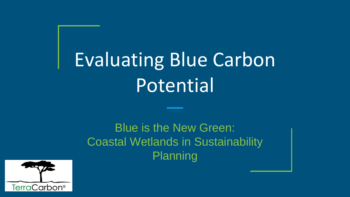## Evaluating Blue Carbon Potential

Blue is the New Green: Coastal Wetlands in Sustainability Planning

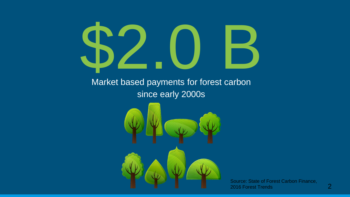

Source: State of Forest Carbon Finance, 2016 Forest Trends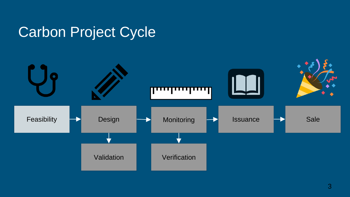#### Carbon Project Cycle

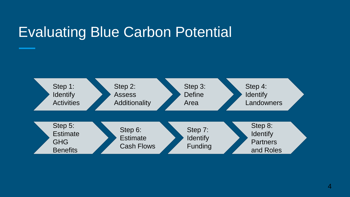### Evaluating Blue Carbon Potential

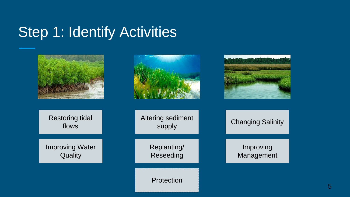#### Step 1: Identify Activities

| <b>Restoring tidal</b><br>flows   | Altering sediment<br>supply | <b>Changing Salinity</b> |
|-----------------------------------|-----------------------------|--------------------------|
| <b>Improving Water</b><br>Quality | Replanting/<br>Reseeding    | Improving<br>Management  |
|                                   | Protection                  |                          |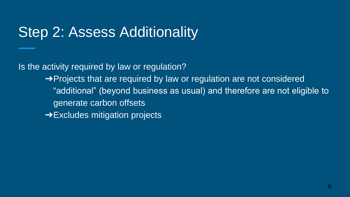### Step 2: Assess Additionality

Is the activity required by law or regulation?

- → Projects that are required by law or regulation are not considered "additional" (beyond business as usual) and therefore are not eligible to generate carbon offsets
- **→Excludes mitigation projects**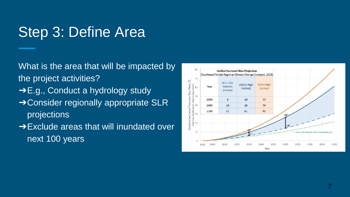### Step 3: Define Area

What is the area that will be impacted by the project activities?

- ➔E.g., Conduct a hydrology study
- **→ Consider regionally appropriate SLR** projections
- **→Exclude areas that will inundated over** next 100 years

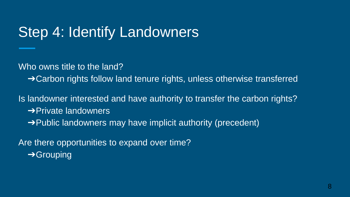#### Step 4: Identify Landowners

Who owns title to the land?

**→ Carbon rights follow land tenure rights, unless otherwise transferred** 

Is landowner interested and have authority to transfer the carbon rights? **→ Private landowners** 

➔Public landowners may have implicit authority (precedent)

Are there opportunities to expand over time? **→ Grouping**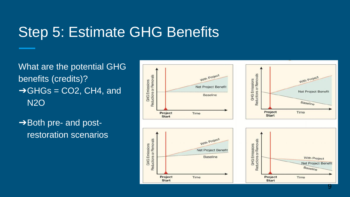#### Step 5: Estimate GHG Benefits

What are the potential GHG benefits (credits)?  $\rightarrow$  GHGs = CO2, CH4, and N2O

 $\rightarrow$  Both pre- and postrestoration scenarios

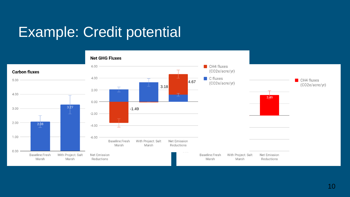### Example: Credit potential

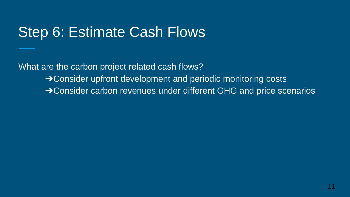#### Step 6: Estimate Cash Flows

What are the carbon project related cash flows?

- **→ Consider upfront development and periodic monitoring costs**
- ➔Consider carbon revenues under different GHG and price scenarios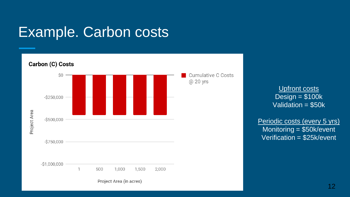#### Example. Carbon costs



Upfront costs  $Design = $100k$ Validation = \$50k

Periodic costs (every 5 yrs) Monitoring = \$50k/event Verification = \$25k/event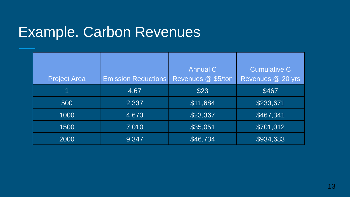#### Example. Carbon Revenues

| <b>Project Area</b> | <b>Emission Reductions</b> | <b>Annual C</b><br>Revenues @ \$5/ton | <b>Cumulative C</b><br>Revenues @ 20 yrs |
|---------------------|----------------------------|---------------------------------------|------------------------------------------|
|                     | 4.67                       | \$23                                  | \$467                                    |
| 500                 | 2,337                      | \$11,684                              | \$233,671                                |
| 1000                | 4,673                      | \$23,367                              | \$467,341                                |
| 1500                | 7,010                      | \$35,051                              | \$701,012                                |
| 2000                | 9,347                      | \$46,734                              | \$934,683                                |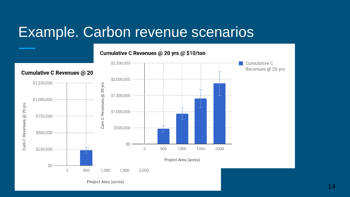#### Example. Carbon revenue scenarios

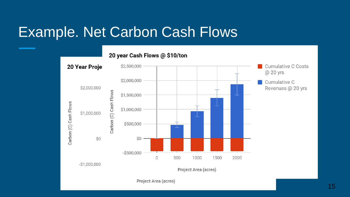#### Example. Net Carbon Cash Flows

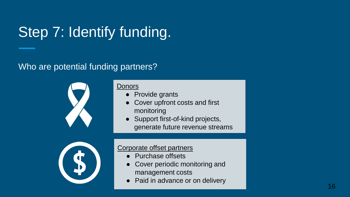### Step 7: Identify funding.

#### Who are potential funding partners?



#### **Donors**

- Provide grants
- Cover upfront costs and first monitoring
- Support first-of-kind projects, generate future revenue streams



#### Corporate offset partners

- Purchase offsets
- Cover periodic monitoring and management costs
- Paid in advance or on delivery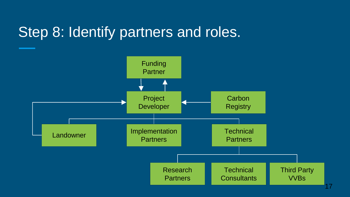#### Step 8: Identify partners and roles.

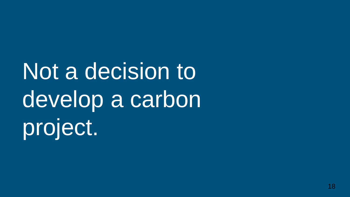Not a decision to develop a carbon project.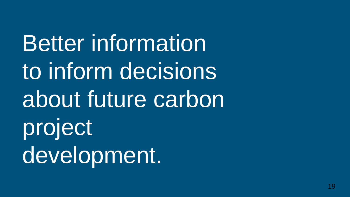Better information to inform decisions about future carbon project development.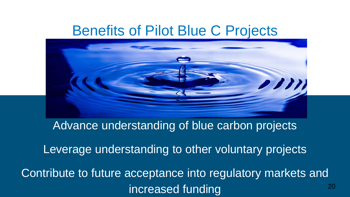#### Benefits of Pilot Blue C Projects



Advance understanding of blue carbon projects

Leverage understanding to other voluntary projects

Contribute to future acceptance into regulatory markets and increased funding and the contract of  $\frac{20}{20}$